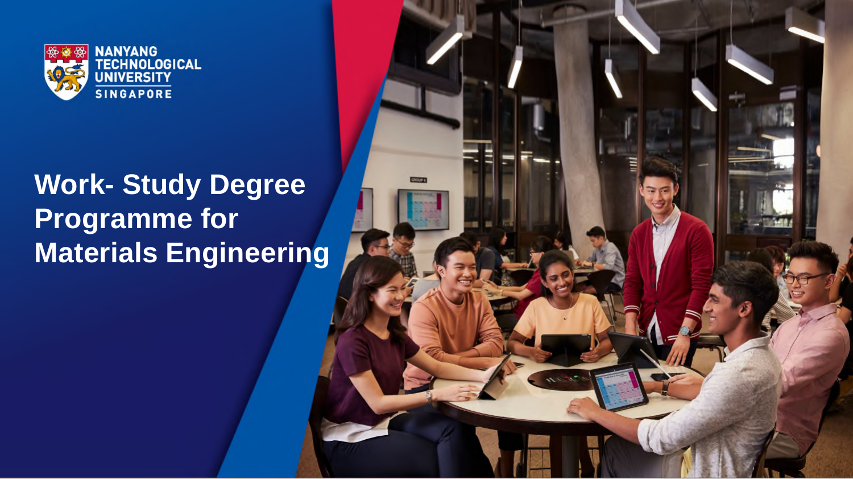

#### **Work- Study Degree Programme for Materials Engineering**

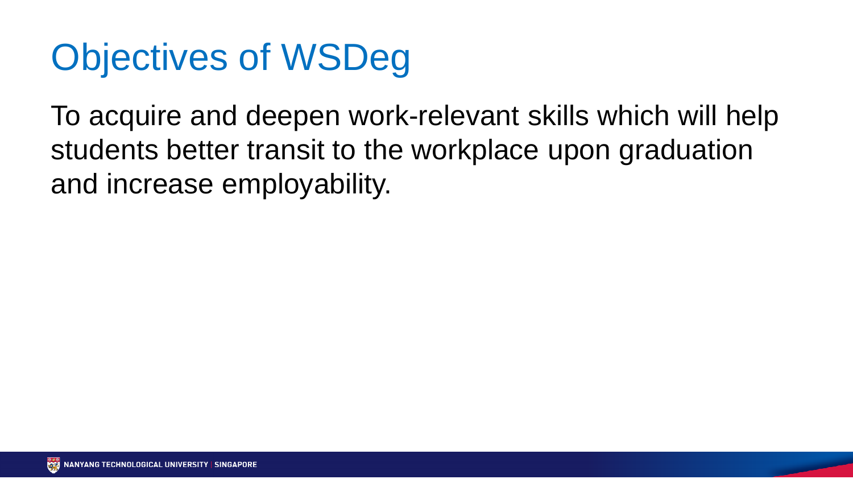## Objectives of WSDeg

To acquire and deepen work-relevant skills which will help students better transit to the workplace upon graduation and increase employability.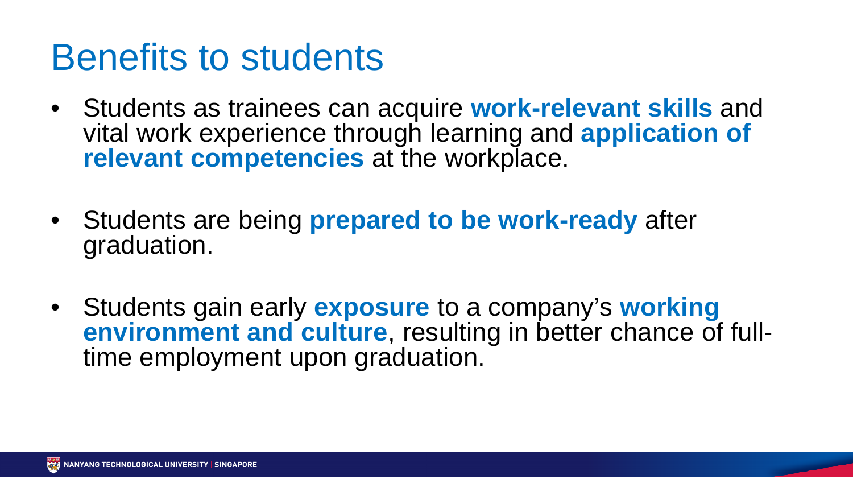#### Benefits to students

- Students as trainees can acquire **work-relevant skills** and vital work experience through learning and **application of relevant competencies** at the workplace.
- Students are being **prepared to be work-ready** after graduation.
- Students gain early **exposure** to a company's **working environment and culture**, resulting in better chance of fulltime employment upon graduation.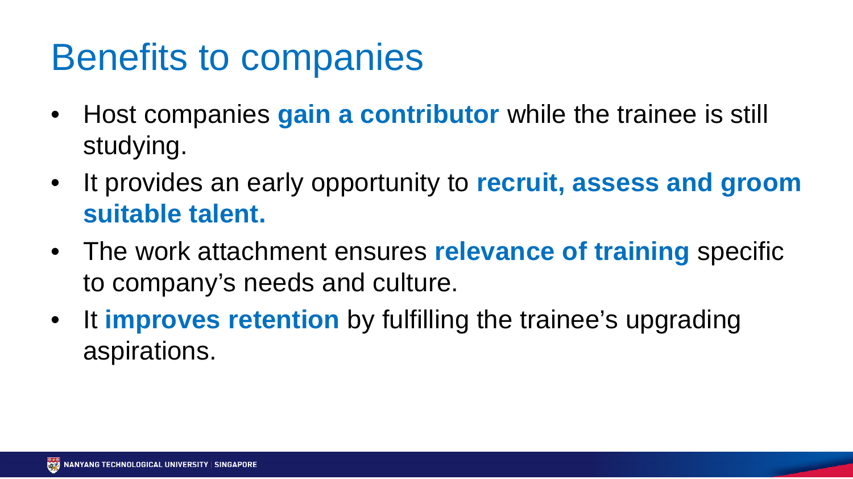#### Benefits to companies

- Host companies **gain a contributor** while the trainee is still studying.
- It provides an early opportunity to **recruit, assess and groom suitable talent.**
- The work attachment ensures **relevance of training** specific to company's needs and culture.
- It **improves retention** by fulfilling the trainee's upgrading aspirations.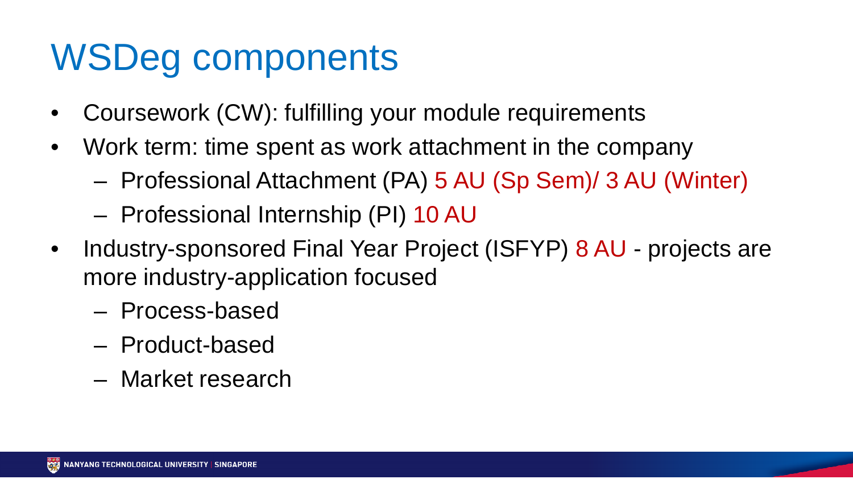#### WSDeg components

- Coursework (CW): fulfilling your module requirements
- Work term: time spent as work attachment in the company
	- Professional Attachment (PA) 5 AU (Sp Sem)/ 3 AU (Winter)
	- Professional Internship (PI) 10 AU
- Industry-sponsored Final Year Project (ISFYP) 8 AU projects are more industry-application focused
	- Process-based
	- Product-based
	- Market research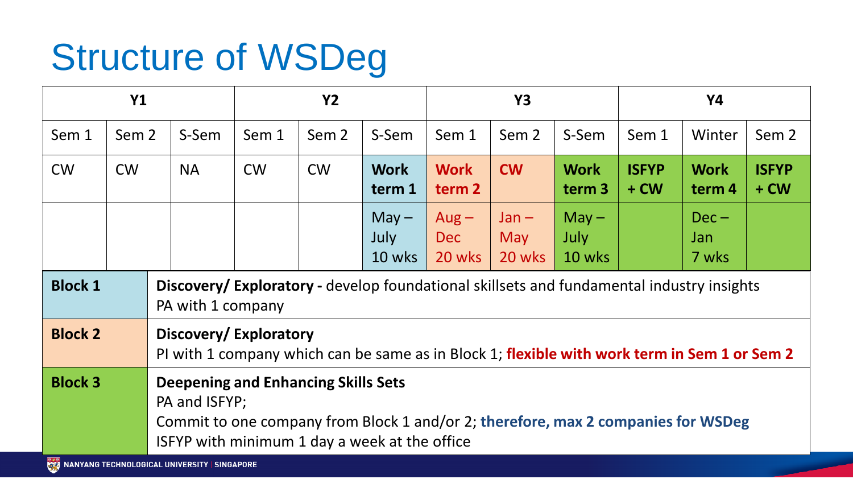# Structure of WSDeg

| <b>Y1</b>      |                  |                                                                                                                                                                                                   |           | <b>Y2</b> |                  |                           | <b>Y3</b>                |                          |                           | Y4                     |                                  |                        |  |
|----------------|------------------|---------------------------------------------------------------------------------------------------------------------------------------------------------------------------------------------------|-----------|-----------|------------------|---------------------------|--------------------------|--------------------------|---------------------------|------------------------|----------------------------------|------------------------|--|
| Sem 1          | Sem <sub>2</sub> |                                                                                                                                                                                                   | S-Sem     | Sem 1     | Sem <sub>2</sub> | S-Sem                     | Sem 1                    | Sem <sub>2</sub>         | S-Sem                     | Sem 1                  | Winter                           | Sem 2                  |  |
| <b>CW</b>      | <b>CW</b>        |                                                                                                                                                                                                   | <b>NA</b> | <b>CW</b> | <b>CW</b>        | <b>Work</b><br>term 1     | <b>Work</b><br>term 2    | <b>CW</b>                | <b>Work</b><br>term 3     | <b>ISFYP</b><br>$+$ CW | <b>Work</b><br>term <sub>4</sub> | <b>ISFYP</b><br>$+$ CW |  |
|                |                  |                                                                                                                                                                                                   |           |           |                  | $May -$<br>July<br>10 wks | $Aug -$<br>Dec<br>20 wks | $Jan -$<br>May<br>20 wks | $May -$<br>July<br>10 wks |                        | $Dec -$<br>Jan<br>7 wks          |                        |  |
| <b>Block 1</b> |                  | Discovery/Exploratory - develop foundational skillsets and fundamental industry insights<br>PA with 1 company                                                                                     |           |           |                  |                           |                          |                          |                           |                        |                                  |                        |  |
| <b>Block 2</b> |                  | Discovery/Exploratory<br>PI with 1 company which can be same as in Block 1; flexible with work term in Sem 1 or Sem 2                                                                             |           |           |                  |                           |                          |                          |                           |                        |                                  |                        |  |
| <b>Block 3</b> |                  | <b>Deepening and Enhancing Skills Sets</b><br>PA and ISFYP;<br>Commit to one company from Block 1 and/or 2; therefore, max 2 companies for WSDeg<br>ISFYP with minimum 1 day a week at the office |           |           |                  |                           |                          |                          |                           |                        |                                  |                        |  |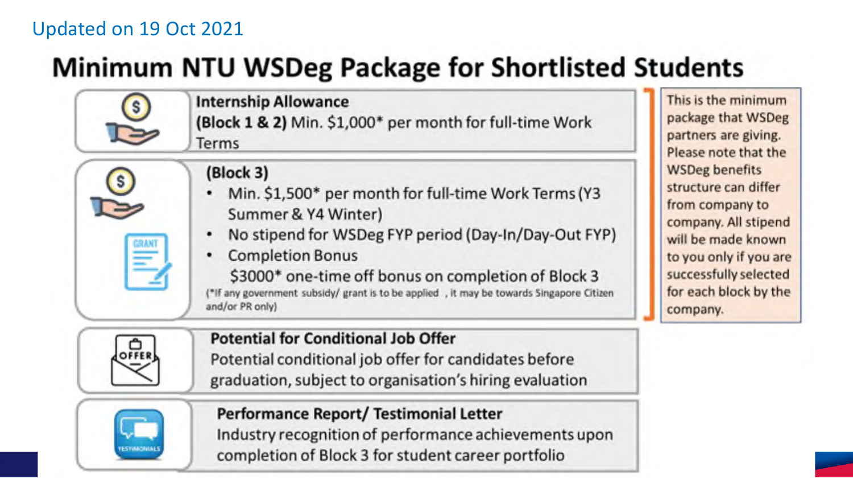#### Updated on 19 Oct 2021

 $\Box$ 

**S** 

#### **Minimum NTU WSDeg Package for Shortlisted Students**

**Internship Allowance** (Block 1 & 2) Min. \$1,000\* per month for full-time Work Terms

- Min. \$1,500\* per month for full-time Work Terms (Y3 Summer & Y4 Winter)
- No stipend for WSDeg FYP period (Day-In/Day-Out FYP)
- **Completion Bonus** ٠

\$3000\* one-time off bonus on completion of Block 3 ("If any government subsidy/ grant is to be applied , it may be towards Singapore Citizen and/or PR only)

package that WSDeg partners are giving. Please note that the **WSDeg benefits** structure can differ from company to company. All stipend will be made known to you only if you are successfully selected for each block by the company.

This is the minimum



Ξ

**Potential for Conditional Job Offer** Potential conditional job offer for candidates before graduation, subject to organisation's hiring evaluation



Performance Report/Testimonial Letter Industry recognition of performance achievements upon completion of Block 3 for student career portfolio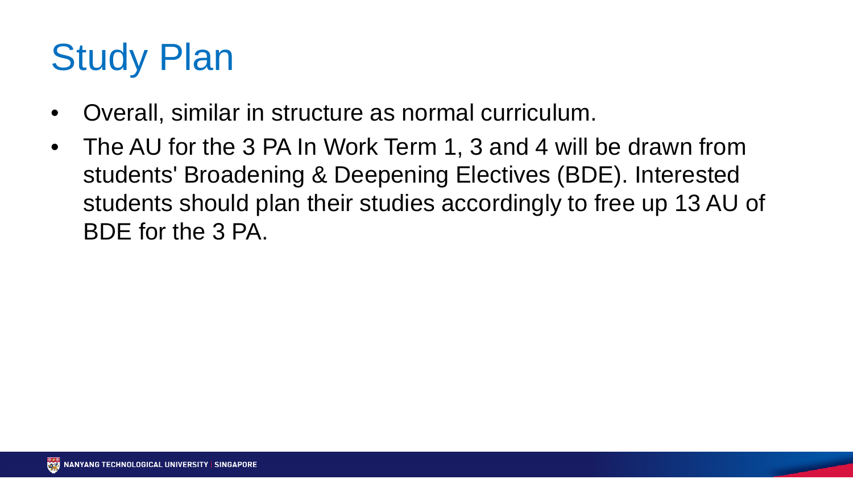## Study Plan

- Overall, similar in structure as normal curriculum.
- The AU for the 3 PA In Work Term 1, 3 and 4 will be drawn from students' Broadening & Deepening Electives (BDE). Interested students should plan their studies accordingly to free up 13 AU of BDE for the 3 PA.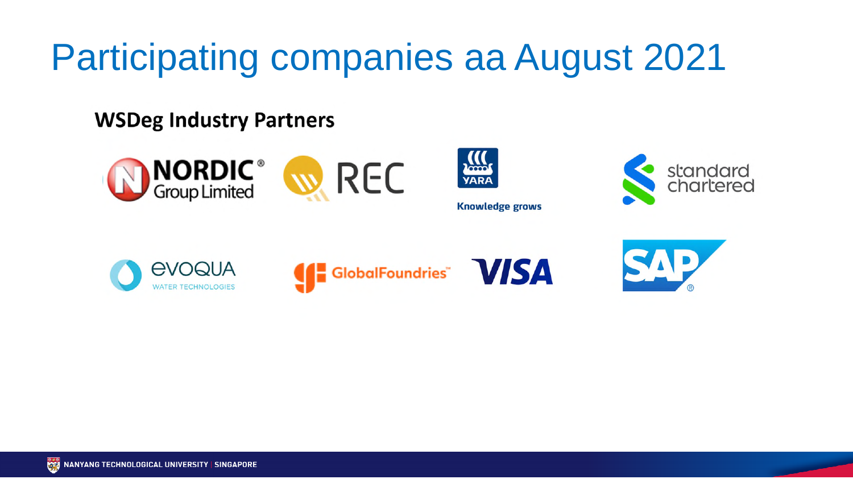## Participating companies aa August 2021

#### **WSDeg Industry Partners**







**Knowledge grows** 









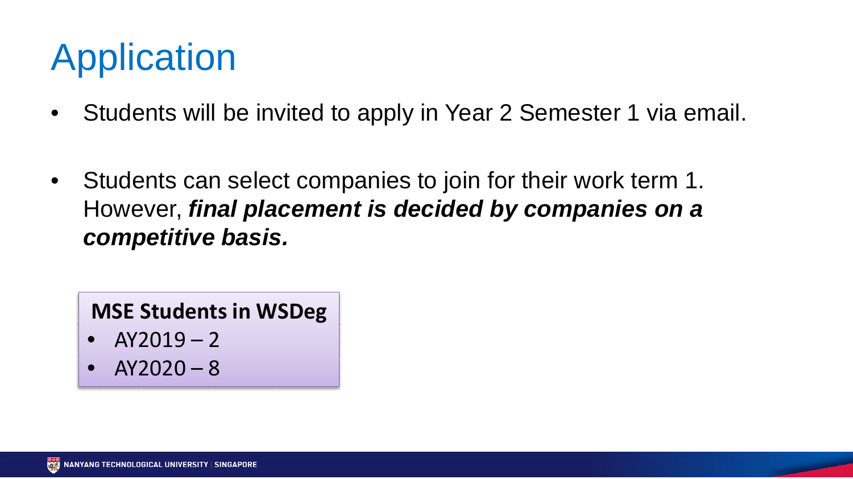### Application

- Students will be invited to apply in Year 2 Semester 1 via email.
- Students can select companies to join for their work term 1. However, *final placement is decided by companies on a competitive basis.*

**MSE Students in WSDeg**

- $AY2019 2$
- $AY2020 8$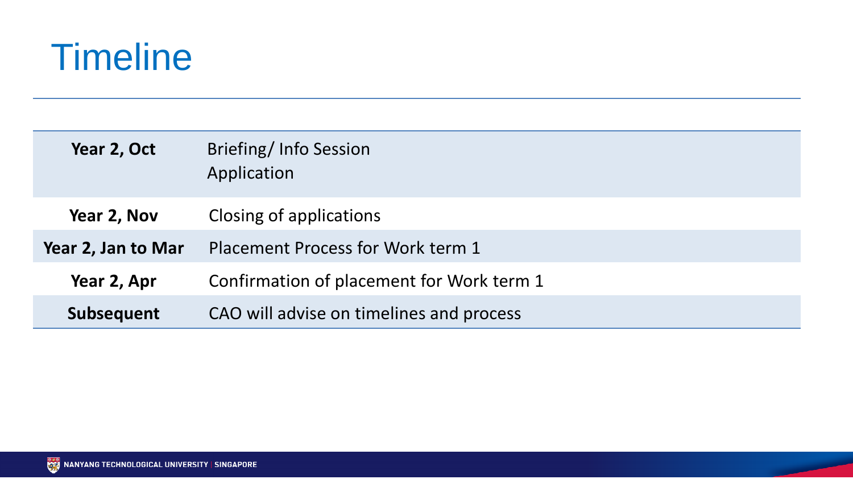

| Year 2, Oct        | Briefing/Info Session<br>Application      |  |  |  |  |  |  |
|--------------------|-------------------------------------------|--|--|--|--|--|--|
| Year 2, Nov        | Closing of applications                   |  |  |  |  |  |  |
| Year 2, Jan to Mar | Placement Process for Work term 1         |  |  |  |  |  |  |
| Year 2, Apr        | Confirmation of placement for Work term 1 |  |  |  |  |  |  |
| <b>Subsequent</b>  | CAO will advise on timelines and process  |  |  |  |  |  |  |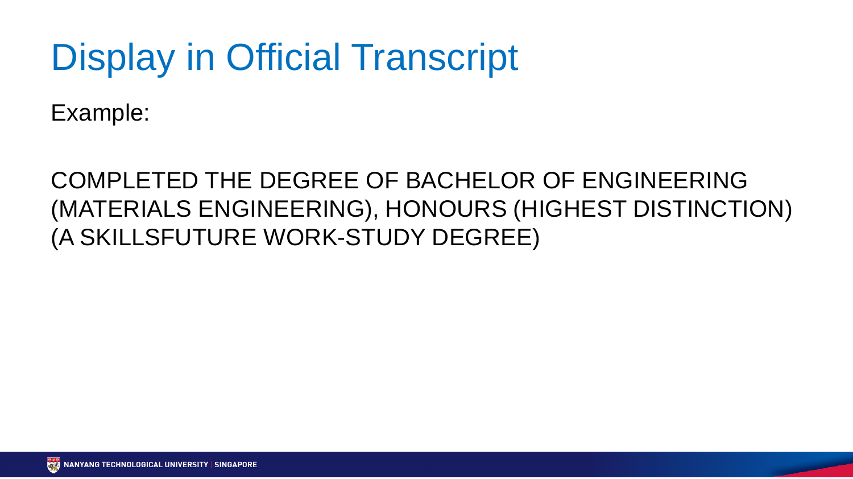#### Display in Official Transcript

Example:

#### COMPLETED THE DEGREE OF BACHELOR OF ENGINEERING (MATERIALS ENGINEERING), HONOURS (HIGHEST DISTINCTION) (A SKILLSFUTURE WORK-STUDY DEGREE)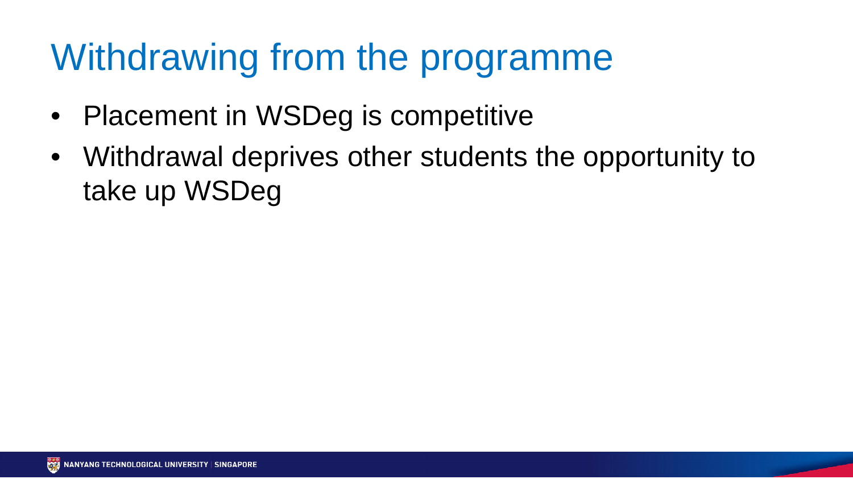#### Withdrawing from the programme

- Placement in WSDeg is competitive
- Withdrawal deprives other students the opportunity to take up WSDeg